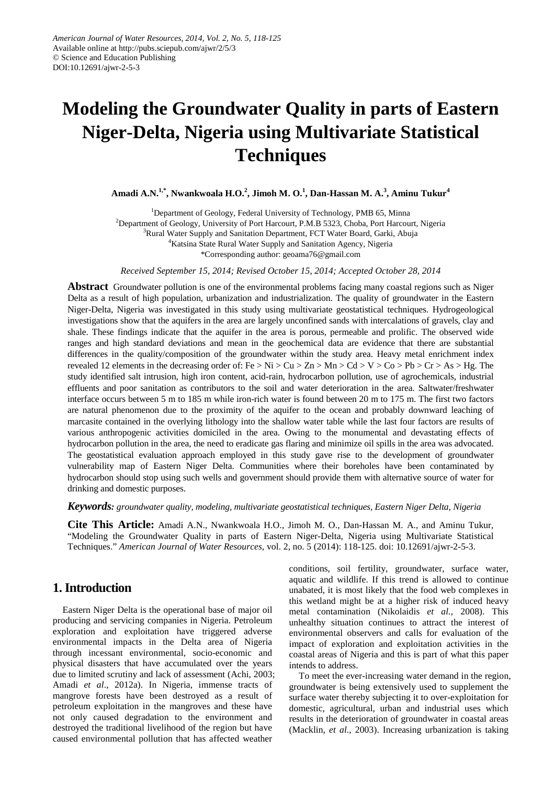# **Modeling the Groundwater Quality in parts of Eastern Niger-Delta, Nigeria using Multivariate Statistical Techniques**

**Amadi A.N.1,\*, Nwankwoala H.O. 2 , Jimoh M. O.<sup>1</sup> , Dan-Hassan M. A.<sup>3</sup> , Aminu Tukur<sup>4</sup>**

<sup>1</sup>Department of Geology, Federal University of Technology, PMB 65, Minna <sup>2</sup>Department of Geology, University of Port Harcourt, P.M.B 5323, Choba, Port Harcourt, Nigeria <sup>3</sup>Rural Water Supply and Sanitation Department, FCT Water Board, Garki, Abuja 4 Katsina State Rural Water Supply and Sanitation Agency, Nigeria \*Corresponding author: geoama76@gmail.com

*Received September 15, 2014; Revised October 15, 2014; Accepted October 28, 2014*

**Abstract** Groundwater pollution is one of the environmental problems facing many coastal regions such as Niger Delta as a result of high population, urbanization and industrialization. The quality of groundwater in the Eastern Niger-Delta, Nigeria was investigated in this study using multivariate geostatistical techniques. Hydrogeological investigations show that the aquifers in the area are largely unconfined sands with intercalations of gravels, clay and shale. These findings indicate that the aquifer in the area is porous, permeable and prolific. The observed wide ranges and high standard deviations and mean in the geochemical data are evidence that there are substantial differences in the quality/composition of the groundwater within the study area. Heavy metal enrichment index revealed 12 elements in the decreasing order of: Fe > Ni > Cu > Zn > Mn > Cd > V > Co > Pb > Cr > As > Hg. The study identified salt intrusion, high iron content, acid-rain, hydrocarbon pollution, use of agrochemicals, industrial effluents and poor sanitation as contributors to the soil and water deterioration in the area. Saltwater/freshwater interface occurs between 5 m to 185 m while iron-rich water is found between 20 m to 175 m. The first two factors are natural phenomenon due to the proximity of the aquifer to the ocean and probably downward leaching of marcasite contained in the overlying lithology into the shallow water table while the last four factors are results of various anthropogenic activities domiciled in the area. Owing to the monumental and devastating effects of hydrocarbon pollution in the area, the need to eradicate gas flaring and minimize oil spills in the area was advocated. The geostatistical evaluation approach employed in this study gave rise to the development of groundwater vulnerability map of Eastern Niger Delta. Communities where their boreholes have been contaminated by hydrocarbon should stop using such wells and government should provide them with alternative source of water for drinking and domestic purposes.

*Keywords: groundwater quality, modeling, multivariate geostatistical techniques, Eastern Niger Delta, Nigeria*

**Cite This Article:** Amadi A.N., Nwankwoala H.O., Jimoh M. O., Dan-Hassan M. A., and Aminu Tukur, "Modeling the Groundwater Quality in parts of Eastern Niger-Delta, Nigeria using Multivariate Statistical Techniques." *American Journal of Water Resources*, vol. 2, no. 5 (2014): 118-125. doi: 10.12691/ajwr-2-5-3.

# **1. Introduction**

Eastern Niger Delta is the operational base of major oil producing and servicing companies in Nigeria. Petroleum exploration and exploitation have triggered adverse environmental impacts in the Delta area of Nigeria through incessant environmental, socio-economic and physical disasters that have accumulated over the years due to limited scrutiny and lack of assessment (Achi, 2003; Amadi *et al*., 2012a). In Nigeria, immense tracts of mangrove forests have been destroyed as a result of petroleum exploitation in the mangroves and these have not only caused degradation to the environment and destroyed the traditional livelihood of the region but have caused environmental pollution that has affected weather

conditions, soil fertility, groundwater, surface water, aquatic and wildlife. If this trend is allowed to continue unabated, it is most likely that the food web complexes in this wetland might be at a higher risk of induced heavy metal contamination (Nikolaidis *et al.,* 2008). This unhealthy situation continues to attract the interest of environmental observers and calls for evaluation of the impact of exploration and exploitation activities in the coastal areas of Nigeria and this is part of what this paper intends to address.

To meet the ever-increasing water demand in the region, groundwater is being extensively used to supplement the surface water thereby subjecting it to over-exploitation for domestic, agricultural, urban and industrial uses which results in the deterioration of groundwater in coastal areas (Macklin, *et al*., 2003). Increasing urbanization is taking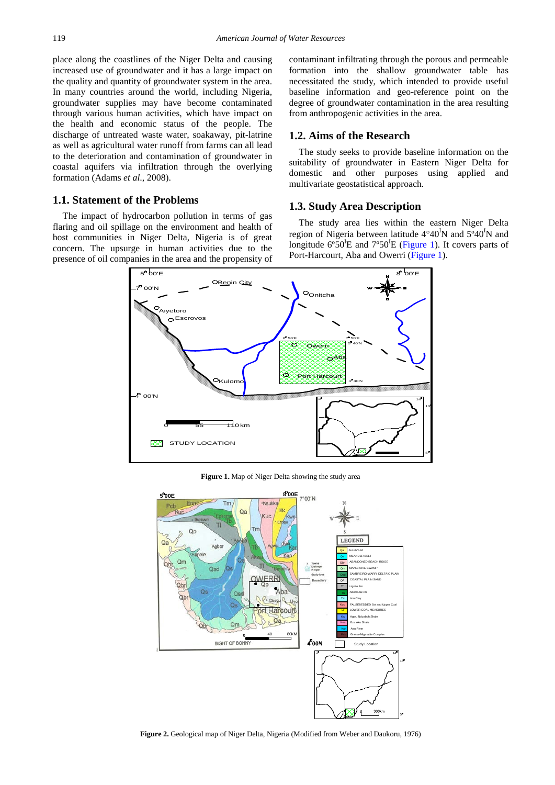place along the coastlines of the Niger Delta and causing increased use of groundwater and it has a large impact on the quality and quantity of groundwater system in the area. In many countries around the world, including Nigeria, groundwater supplies may have become contaminated through various human activities, which have impact on the health and economic status of the people. The discharge of untreated waste water, soakaway, pit-latrine as well as agricultural water runoff from farms can all lead to the deterioration and contamination of groundwater in coastal aquifers via infiltration through the overlying formation (Adams *et al*., 2008).

### **1.1. Statement of the Problems**

<span id="page-1-0"></span>The impact of hydrocarbon pollution in terms of gas flaring and oil spillage on the environment and health of host communities in Niger Delta, Nigeria is of great concern. The upsurge in human activities due to the presence of oil companies in the area and the propensity of contaminant infiltrating through the porous and permeable formation into the shallow groundwater table has necessitated the study, which intended to provide useful baseline information and geo-reference point on the degree of groundwater contamination in the area resulting from anthropogenic activities in the area.

#### **1.2. Aims of the Research**

The study seeks to provide baseline information on the suitability of groundwater in Eastern Niger Delta for domestic and other purposes using applied and multivariate geostatistical approach.

#### **1.3. Study Area Description**

The study area lies within the eastern Niger Delta region of Nigeria between latitude  $4^{\circ}40^{\text{I}}$ N and  $5^{\circ}40^{\text{I}}$ N and longitude  $6^{\circ}50^{\text{I}}E$  and  $7^{\circ}50^{\text{I}}E$  [\(Figure 1\)](#page-1-0). It covers parts of Port-Harcourt, Aba and Owerri [\(Figure 1\)](#page-1-0).



**Figure 1.** Map of Niger Delta showing the study area

<span id="page-1-1"></span>

**Figure 2.** Geological map of Niger Delta, Nigeria (Modified from Weber and Daukoru, 1976)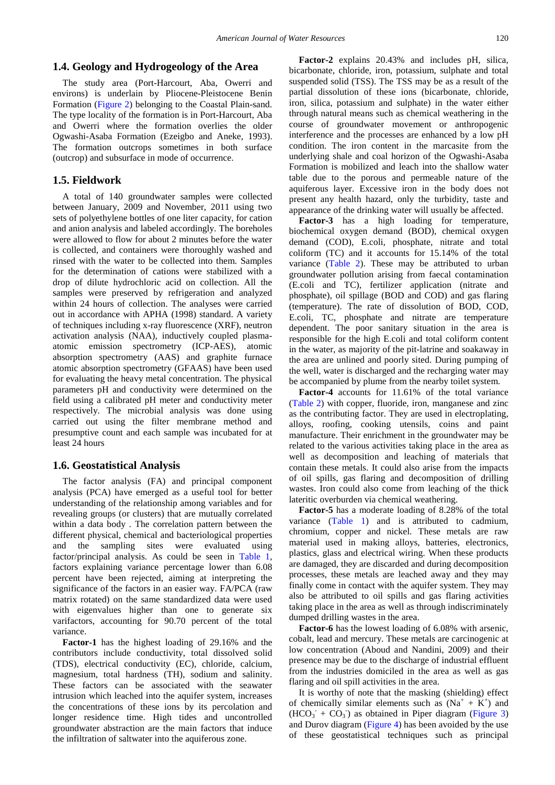#### **1.4. Geology and Hydrogeology of the Area**

The study area (Port-Harcourt, Aba, Owerri and environs) is underlain by Pliocene-Pleistocene Benin Formation [\(Figure 2\)](#page-1-1) belonging to the Coastal Plain-sand. The type locality of the formation is in Port-Harcourt, Aba and Owerri where the formation overlies the older Ogwashi-Asaba Formation (Ezeigbo and Aneke, 1993). The formation outcrops sometimes in both surface (outcrop) and subsurface in mode of occurrence.

#### **1.5. Fieldwork**

A total of 140 groundwater samples were collected between January, 2009 and November, 2011 using two sets of polyethylene bottles of one liter capacity, for cation and anion analysis and labeled accordingly. The boreholes were allowed to flow for about 2 minutes before the water is collected, and containers were thoroughly washed and rinsed with the water to be collected into them. Samples for the determination of cations were stabilized with a drop of dilute hydrochloric acid on collection. All the samples were preserved by refrigeration and analyzed within 24 hours of collection. The analyses were carried out in accordance with APHA (1998) standard. A variety of techniques including x-ray fluorescence (XRF), neutron activation analysis (NAA), inductively coupled plasmaatomic emission spectrometry (ICP-AES), atomic absorption spectrometry (AAS) and graphite furnace atomic absorption spectrometry (GFAAS) have been used for evaluating the heavy metal concentration. The physical parameters pH and conductivity were determined on the field using a calibrated pH meter and conductivity meter respectively. The microbial analysis was done using carried out using the filter membrane method and presumptive count and each sample was incubated for at least 24 hours

#### **1.6. Geostatistical Analysis**

The factor analysis (FA) and principal component analysis (PCA) have emerged as a useful tool for better understanding of the relationship among variables and for revealing groups (or clusters) that are mutually correlated within a data body . The correlation pattern between the different physical, chemical and bacteriological properties and the sampling sites were evaluated using factor/principal analysis. As could be seen in [Table 1,](#page-4-0) factors explaining variance percentage lower than 6.08 percent have been rejected, aiming at interpreting the significance of the factors in an easier way. FA/PCA (raw matrix rotated) on the same standardized data were used with eigenvalues higher than one to generate six varifactors, accounting for 90.70 percent of the total variance.

**Factor-1** has the highest loading of 29.16% and the contributors include conductivity, total dissolved solid (TDS), electrical conductivity (EC), chloride, calcium, magnesium, total hardness (TH), sodium and salinity. These factors can be associated with the seawater intrusion which leached into the aquifer system, increases the concentrations of these ions by its percolation and longer residence time. High tides and uncontrolled groundwater abstraction are the main factors that induce the infiltration of saltwater into the aquiferous zone.

**Factor-2** explains 20.43% and includes pH, silica, bicarbonate, chloride, iron, potassium, sulphate and total suspended solid (TSS). The TSS may be as a result of the partial dissolution of these ions (bicarbonate, chloride, iron, silica, potassium and sulphate) in the water either through natural means such as chemical weathering in the course of groundwater movement or anthropogenic interference and the processes are enhanced by a low pH condition. The iron content in the marcasite from the underlying shale and coal horizon of the Ogwashi-Asaba Formation is mobilized and leach into the shallow water table due to the porous and permeable nature of the aquiferous layer. Excessive iron in the body does not present any health hazard, only the turbidity, taste and appearance of the drinking water will usually be affected.

**Factor-3** has a high loading for temperature, biochemical oxygen demand (BOD), chemical oxygen demand (COD), E.coli, phosphate, nitrate and total coliform (TC) and it accounts for 15.14% of the total variance [\(Table 2\)](#page-5-0). These may be attributed to urban groundwater pollution arising from faecal contamination (E.coli and TC), fertilizer application (nitrate and phosphate), oil spillage (BOD and COD) and gas flaring (temperature). The rate of dissolution of BOD, COD, E.coli, TC, phosphate and nitrate are temperature dependent. The poor sanitary situation in the area is responsible for the high E.coli and total coliform content in the water, as majority of the pit-latrine and soakaway in the area are unlined and poorly sited. During pumping of the well, water is discharged and the recharging water may be accompanied by plume from the nearby toilet system.

**Factor-4** accounts for 11.61% of the total variance [\(Table 2\)](#page-5-0) with copper, fluoride, iron, manganese and zinc as the contributing factor. They are used in electroplating, alloys, roofing, cooking utensils, coins and paint manufacture. Their enrichment in the groundwater may be related to the various activities taking place in the area as well as decomposition and leaching of materials that contain these metals. It could also arise from the impacts of oil spills, gas flaring and decomposition of drilling wastes. Iron could also come from leaching of the thick lateritic overburden via chemical weathering.

**Factor-5** has a moderate loading of 8.28% of the total variance [\(Table 1\)](#page-4-0) and is attributed to cadmium, chromium, copper and nickel. These metals are raw material used in making alloys, batteries, electronics, plastics, glass and electrical wiring. When these products are damaged, they are discarded and during decomposition processes, these metals are leached away and they may finally come in contact with the aquifer system. They may also be attributed to oil spills and gas flaring activities taking place in the area as well as through indiscriminately dumped drilling wastes in the area.

**Factor-6** has the lowest loading of 6.08% with arsenic, cobalt, lead and mercury. These metals are carcinogenic at low concentration (Aboud and Nandini, 2009) and their presence may be due to the discharge of industrial effluent from the industries domiciled in the area as well as gas flaring and oil spill activities in the area.

It is worthy of note that the masking (shielding) effect of chemically similar elements such as  $(Na^{+} + K^{+})$  and  $(HCO<sub>3</sub> + CO<sub>3</sub>)$  as obtained in Piper diagram [\(Figure 3\)](#page-3-0) and Durov diagram [\(Figure 4\)](#page-3-1) has been avoided by the use of these geostatistical techniques such as principal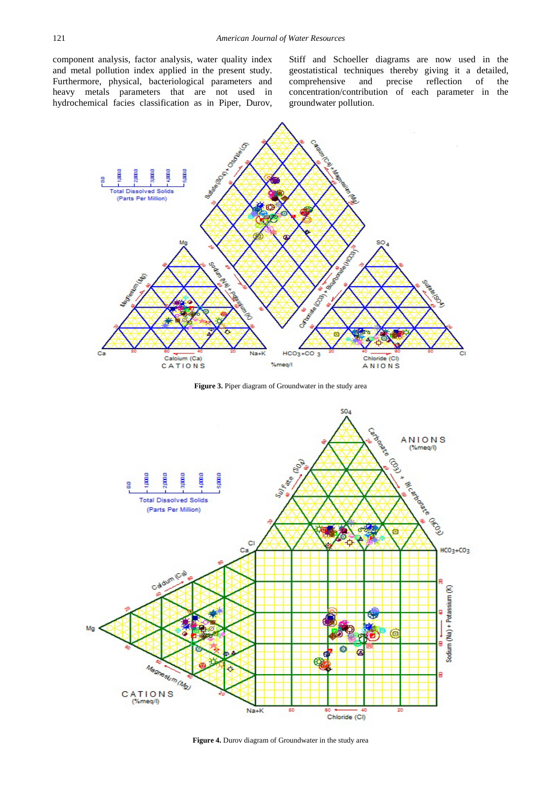component analysis, factor analysis, water quality index and metal pollution index applied in the present study. Furthermore, physical, bacteriological parameters and heavy metals parameters that are not used in hydrochemical facies classification as in Piper, Durov, Stiff and Schoeller diagrams are now used in the geostatistical techniques thereby giving it a detailed, comprehensive and precise reflection of the concentration/contribution of each parameter in the groundwater pollution.

<span id="page-3-0"></span>

**Figure 3.** Piper diagram of Groundwater in the study area

<span id="page-3-1"></span>

**Figure 4.** Durov diagram of Groundwater in the study area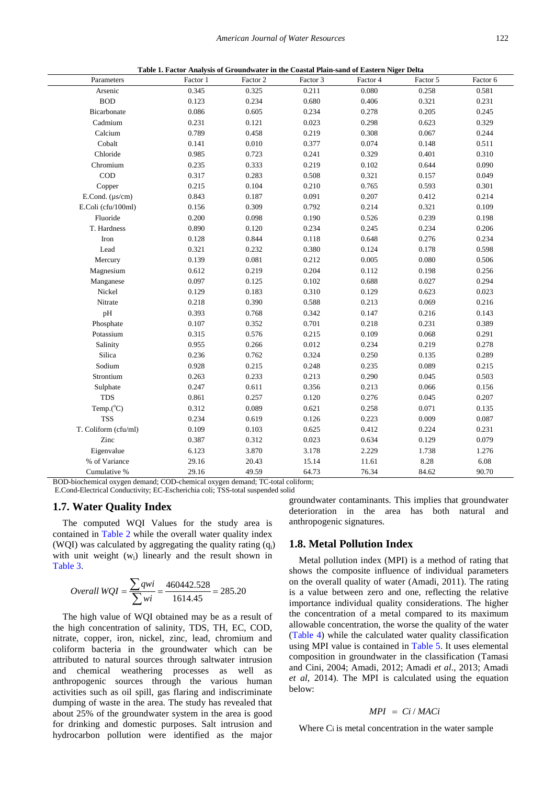|  |  |  |  | Table 1. Factor Analysis of Groundwater in the Coastal Plain-sand of Eastern Niger Delta |  |
|--|--|--|--|------------------------------------------------------------------------------------------|--|
|--|--|--|--|------------------------------------------------------------------------------------------|--|

<span id="page-4-0"></span>

| Parameters           | Factor 1 | Factor 2 | Factor 3 | Factor 4 | Factor 5 | Factor 6 |
|----------------------|----------|----------|----------|----------|----------|----------|
| Arsenic              | 0.345    | 0.325    | 0.211    | 0.080    | 0.258    | 0.581    |
| <b>BOD</b>           | 0.123    | 0.234    | 0.680    | 0.406    | 0.321    | 0.231    |
| Bicarbonate          | 0.086    | 0.605    | 0.234    | 0.278    | 0.205    | 0.245    |
| Cadmium              | 0.231    | 0.121    | 0.023    | 0.298    | 0.623    | 0.329    |
| Calcium              | 0.789    | 0.458    | 0.219    | 0.308    | 0.067    | 0.244    |
| Cobalt               | 0.141    | 0.010    | 0.377    | 0.074    | 0.148    | 0.511    |
| Chloride             | 0.985    | 0.723    | 0.241    | 0.329    | 0.401    | 0.310    |
| Chromium             | 0.235    | 0.333    | 0.219    | 0.102    | 0.644    | 0.090    |
| $\rm{COD}$           | 0.317    | 0.283    | 0.508    | 0.321    | 0.157    | 0.049    |
| Copper               | 0.215    | 0.104    | 0.210    | 0.765    | 0.593    | 0.301    |
| E.Cond. $(\mu s/cm)$ | 0.843    | 0.187    | 0.091    | 0.207    | 0.412    | 0.214    |
| E.Coli (cfu/100ml)   | 0.156    | 0.309    | 0.792    | 0.214    | 0.321    | 0.109    |
| Fluoride             | 0.200    | 0.098    | 0.190    | 0.526    | 0.239    | 0.198    |
| T. Hardness          | 0.890    | 0.120    | 0.234    | 0.245    | 0.234    | 0.206    |
| Iron                 | 0.128    | 0.844    | 0.118    | 0.648    | 0.276    | 0.234    |
| Lead                 | 0.321    | 0.232    | 0.380    | 0.124    | 0.178    | 0.598    |
| Mercury              | 0.139    | 0.081    | 0.212    | 0.005    | 0.080    | 0.506    |
| Magnesium            | 0.612    | 0.219    | 0.204    | 0.112    | 0.198    | 0.256    |
| Manganese            | 0.097    | 0.125    | 0.102    | 0.688    | 0.027    | 0.294    |
| Nickel               | 0.129    | 0.183    | 0.310    | 0.129    | 0.623    | 0.023    |
| Nitrate              | 0.218    | 0.390    | 0.588    | 0.213    | 0.069    | 0.216    |
| pH                   | 0.393    | 0.768    | 0.342    | 0.147    | 0.216    | 0.143    |
| Phosphate            | 0.107    | 0.352    | 0.701    | 0.218    | 0.231    | 0.389    |
| Potassium            | 0.315    | 0.576    | 0.215    | 0.109    | 0.068    | 0.291    |
| Salinity             | 0.955    | 0.266    | 0.012    | 0.234    | 0.219    | 0.278    |
| Silica               | 0.236    | 0.762    | 0.324    | 0.250    | 0.135    | 0.289    |
| Sodium               | 0.928    | 0.215    | 0.248    | 0.235    | 0.089    | 0.215    |
| Strontium            | 0.263    | 0.233    | 0.213    | 0.290    | 0.045    | 0.503    |
| Sulphate             | 0.247    | 0.611    | 0.356    | 0.213    | 0.066    | 0.156    |
| <b>TDS</b>           | 0.861    | 0.257    | 0.120    | 0.276    | 0.045    | 0.207    |
| Temp.(°C)            | 0.312    | 0.089    | 0.621    | 0.258    | 0.071    | 0.135    |
| <b>TSS</b>           | 0.234    | 0.619    | 0.126    | 0.223    | 0.009    | 0.087    |
| T. Coliform (cfu/ml) | 0.109    | 0.103    | 0.625    | 0.412    | 0.224    | 0.231    |
| Zinc                 | 0.387    | 0.312    | 0.023    | 0.634    | 0.129    | 0.079    |
| Eigenvalue           | 6.123    | 3.870    | 3.178    | 2.229    | 1.738    | 1.276    |
| % of Variance        | 29.16    | 20.43    | 15.14    | 11.61    | 8.28     | 6.08     |
| Cumulative %         | 29.16    | 49.59    | 64.73    | 76.34    | 84.62    | 90.70    |

BOD-biochemical oxygen demand; COD-chemical oxygen demand; TC-total coliform;

E.Cond-Electrical Conductivity; EC-Escherichia coli; TSS-total suspended solid

#### **1.7. Water Quality Index**

The computed WQI Values for the study area is contained in [Table 2](#page-5-0) while the overall water quality index (WQI) was calculated by aggregating the quality rating  $(q_i)$ with unit weight (w<sub>i</sub>) linearly and the result shown in [Table 3.](#page-5-1)

<span id="page-4-1"></span>Overall WQI = 
$$
\frac{\sum qwi}{\sum wi} = \frac{460442.528}{1614.45} = 285.20
$$

The high value of WQI obtained may be as a result of the high concentration of salinity, TDS, TH, EC, COD, nitrate, copper, iron, nickel, zinc, lead, chromium and coliform bacteria in the groundwater which can be attributed to natural sources through saltwater intrusion and chemical weathering processes as well as anthropogenic sources through the various human activities such as oil spill, gas flaring and indiscriminate dumping of waste in the area. The study has revealed that about 25% of the groundwater system in the area is good for drinking and domestic purposes. Salt intrusion and hydrocarbon pollution were identified as the major groundwater contaminants. This implies that groundwater deterioration in the area has both natural and anthropogenic signatures.

#### **1.8. Metal Pollution Index**

Metal pollution index (MPI) is a method of rating that shows the composite influence of individual parameters on the overall quality of water (Amadi, 2011). The rating is a value between zero and one, reflecting the relative importance individual quality considerations. The higher the concentration of a metal compared to its maximum allowable concentration, the worse the quality of the water [\(Table 4\)](#page-5-2) while the calculated water quality classification using MPI value is contained in [Table 5.](#page-5-3) It uses elemental composition in groundwater in the classification (Tamasi and Cini, 2004; Amadi, 2012; Amadi *et al*., 2013; Amadi *et al*, 2014). The MPI is calculated using the equation below:

#### $MPI = Ci/MACi$

Where Ci is metal concentration in the water sample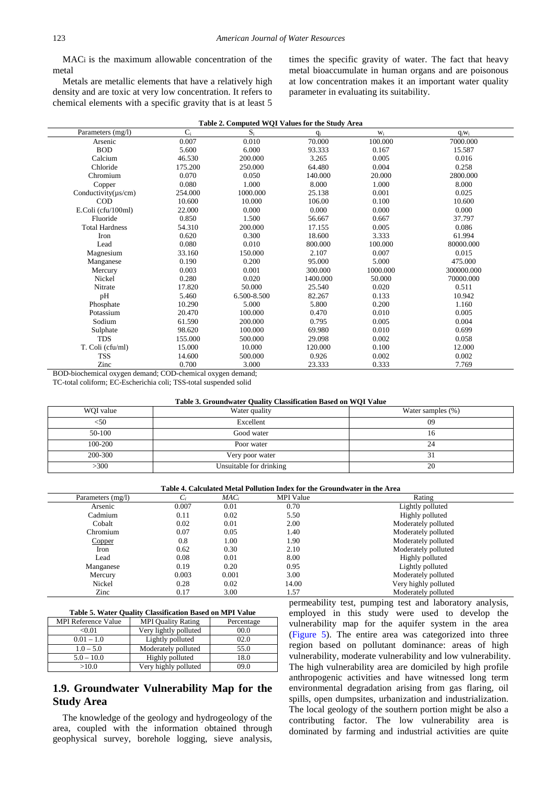MACi is the maximum allowable concentration of the metal

Metals are metallic elements that have a relatively high density and are toxic at very low concentration. It refers to chemical elements with a specific gravity that is at least 5 times the specific gravity of water. The fact that heavy metal bioaccumulate in human organs and are poisonous at low concentration makes it an important water quality parameter in evaluating its suitability.

|  | Table 2. Computed WQI Values for the Study Area |
|--|-------------------------------------------------|
|--|-------------------------------------------------|

<span id="page-5-0"></span>

| Parameters (mg/l)         | $C_i$   | $S_i$       | $q_i$    | $W_i$    | $q_iw_i$   |
|---------------------------|---------|-------------|----------|----------|------------|
| Arsenic                   | 0.007   | 0.010       | 70.000   | 100.000  | 7000.000   |
| <b>BOD</b>                | 5.600   | 6.000       | 93.333   | 0.167    | 15.587     |
| Calcium                   | 46.530  | 200.000     | 3.265    | 0.005    | 0.016      |
| Chloride                  | 175.200 | 250.000     | 64.480   | 0.004    | 0.258      |
| Chromium                  | 0.070   | 0.050       | 140.000  | 20.000   | 2800.000   |
| Copper                    | 0.080   | 1.000       | 8.000    | 1.000    | 8.000      |
| Conductivity $(\mu s/cm)$ | 254.000 | 1000.000    | 25.138   | 0.001    | 0.025      |
| <b>COD</b>                | 10.600  | 10.000      | 106.00   | 0.100    | 10.600     |
| E.Coli (cfu/100ml)        | 22.000  | 0.000       | 0.000    | 0.000    | 0.000      |
| Fluoride                  | 0.850   | 1.500       | 56.667   | 0.667    | 37.797     |
| <b>Total Hardness</b>     | 54.310  | 200.000     | 17.155   | 0.005    | 0.086      |
| Iron                      | 0.620   | 0.300       | 18.600   | 3.333    | 61.994     |
| Lead                      | 0.080   | 0.010       | 800.000  | 100.000  | 80000.000  |
| Magnesium                 | 33.160  | 150.000     | 2.107    | 0.007    | 0.015      |
| Manganese                 | 0.190   | 0.200       | 95.000   | 5.000    | 475.000    |
| Mercury                   | 0.003   | 0.001       | 300.000  | 1000.000 | 300000.000 |
| Nickel                    | 0.280   | 0.020       | 1400.000 | 50.000   | 70000.000  |
| Nitrate                   | 17.820  | 50.000      | 25.540   | 0.020    | 0.511      |
| pH                        | 5.460   | 6.500-8.500 | 82.267   | 0.133    | 10.942     |
| Phosphate                 | 10.290  | 5.000       | 5.800    | 0.200    | 1.160      |
| Potassium                 | 20.470  | 100.000     | 0.470    | 0.010    | 0.005      |
| Sodium                    | 61.590  | 200.000     | 0.795    | 0.005    | 0.004      |
| Sulphate                  | 98.620  | 100.000     | 69.980   | 0.010    | 0.699      |
| <b>TDS</b>                | 155.000 | 500.000     | 29.098   | 0.002    | 0.058      |
| T. Coli (cfu/ml)          | 15.000  | 10.000      | 120.000  | 0.100    | 12.000     |
| <b>TSS</b>                | 14.600  | 500.000     | 0.926    | 0.002    | 0.002      |
| Zinc                      | 0.700   | 3.000       | 23.333   | 0.333    | 7.769      |

BOD-biochemical oxygen demand; COD-chemical oxygen demand;

TC-total coliform; EC-Escherichia coli; TSS-total suspended solid

| Table 3. Groundwater Quality Classification Based on WQI Value |  |  |
|----------------------------------------------------------------|--|--|
|                                                                |  |  |

<span id="page-5-1"></span>

| WOI value | Water quality           | Water samples (%) |
|-----------|-------------------------|-------------------|
| $<$ 50    | Excellent               | 09                |
| 50-100    | Good water              | 1Ο                |
| 100-200   | Poor water              | 24                |
| 200-300   | Very poor water         |                   |
| >300      | Unsuitable for drinking | 20                |

**Table 4. Calculated Metal Pollution Index for the Groundwater in the Area**

<span id="page-5-2"></span>

| Parameters (mg/l) |       | $MAC_i$ | <b>MPI</b> Value | Rating               |
|-------------------|-------|---------|------------------|----------------------|
| Arsenic           | 0.007 | 0.01    | 0.70             | Lightly polluted     |
| Cadmium           | 0.11  | 0.02    | 5.50             | Highly polluted      |
| Cobalt            | 0.02  | 0.01    | 2.00             | Moderately polluted  |
| Chromium          | 0.07  | 0.05    | 1.40             | Moderately polluted  |
| Copper            | 0.8   | 1.00    | 1.90             | Moderately polluted  |
| Iron              | 0.62  | 0.30    | 2.10             | Moderately polluted  |
| Lead              | 0.08  | 0.01    | 8.00             | Highly polluted      |
| Manganese         | 0.19  | 0.20    | 0.95             | Lightly polluted     |
| Mercury           | 0.003 | 0.001   | 3.00             | Moderately polluted  |
| Nickel            | 0.28  | 0.02    | 14.00            | Very highly polluted |
| Zinc              | 0.17  | 3.00    | 1.57             | Moderately polluted  |

| Table 5. Water Quality Classification Based on MPI Value |  |  |  |  |
|----------------------------------------------------------|--|--|--|--|
|----------------------------------------------------------|--|--|--|--|

<span id="page-5-3"></span>

| <b>MPI Reference Value</b> | <b>MPI Quality Rating</b> | Percentage |
|----------------------------|---------------------------|------------|
| < 0.01                     | Very lightly polluted     | 00.0       |
| $0.01 - 1.0$               | Lightly polluted          | 02.0       |
| $1.0 - 5.0$                | Moderately polluted       | 55.0       |
| $5.0 - 10.0$               | Highly polluted           | 18.0       |
| >10.0                      | Very highly polluted      | 09.0       |

## **1.9. Groundwater Vulnerability Map for the Study Area**

The knowledge of the geology and hydrogeology of the area, coupled with the information obtained through geophysical survey, borehole logging, sieve analysis,

permeability test, pumping test and laboratory analysis, employed in this study were used to develop the vulnerability map for the aquifer system in the area [\(Figure 5\)](#page-4-1). The entire area was categorized into three region based on pollutant dominance: areas of high vulnerability, moderate vulnerability and low vulnerability. The high vulnerability area are domiciled by high profile anthropogenic activities and have witnessed long term environmental degradation arising from gas flaring, oil spills, open dumpsites, urbanization and industrialization. The local geology of the southern portion might be also a contributing factor. The low vulnerability area is dominated by farming and industrial activities are quite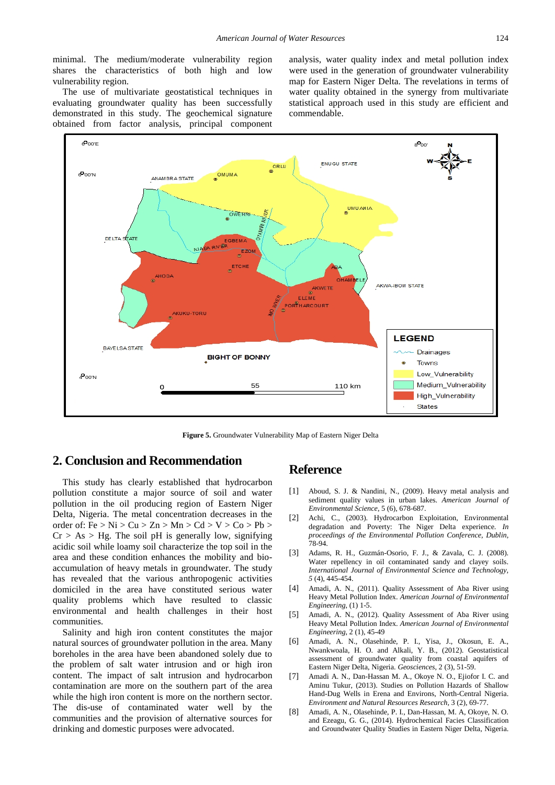minimal. The medium/moderate vulnerability region shares the characteristics of both high and low vulnerability region.

The use of multivariate geostatistical techniques in evaluating groundwater quality has been successfully demonstrated in this study. The geochemical signature obtained from factor analysis, principal component analysis, water quality index and metal pollution index were used in the generation of groundwater vulnerability map for Eastern Niger Delta. The revelations in terms of water quality obtained in the synergy from multivariate statistical approach used in this study are efficient and commendable.



**Figure 5.** Groundwater Vulnerability Map of Eastern Niger Delta

## **2. Conclusion and Recommendation**

This study has clearly established that hydrocarbon pollution constitute a major source of soil and water pollution in the oil producing region of Eastern Niger Delta, Nigeria. The metal concentration decreases in the order of: Fe  $> Ni > Cu > Zn > Mn > Cd > V > Co > Pb >$  $Cr > As > Hg$ . The soil pH is generally low, signifying acidic soil while loamy soil characterize the top soil in the area and these condition enhances the mobility and bioaccumulation of heavy metals in groundwater. The study has revealed that the various anthropogenic activities domiciled in the area have constituted serious water quality problems which have resulted to classic environmental and health challenges in their host communities.

Salinity and high iron content constitutes the major natural sources of groundwater pollution in the area. Many boreholes in the area have been abandoned solely due to the problem of salt water intrusion and or high iron content. The impact of salt intrusion and hydrocarbon contamination are more on the southern part of the area while the high iron content is more on the northern sector. The dis-use of contaminated water well by the communities and the provision of alternative sources for drinking and domestic purposes were advocated.

## **Reference**

- [1] Aboud, S. J. & Nandini, N., (2009). Heavy metal analysis and sediment quality values in urban lakes. *American Journal of Environmental Science*, 5 (6), 678-687.
- [2] Achi, C., (2003). Hydrocarbon Exploitation, Environmental degradation and Poverty: The Niger Delta experience. *In proceedings of the Environmental Pollution Conference, Dublin,*  78-94.
- [3] Adams, R. H., Guzmán-Osorio, F. J., & Zavala, C. J. (2008). Water repellency in oil contaminated sandy and clayey soils. *International Journal of Environmental Science and Technology, 5* (4), 445-454.
- [4] Amadi, A. N., (2011). Quality Assessment of Aba River using Heavy Metal Pollution Index. *American Journal of Environmental Engineering*, (1) 1-5.
- [5] Amadi, A. N., (2012). Quality Assessment of Aba River using Heavy Metal Pollution Index. *American Journal of Environmental Engineering*, 2 (1), 45-49
- [6] Amadi, A. N., Olasehinde, P. I., Yisa, J., Okosun, E. A., Nwankwoala, H. O. and Alkali, Y. B., (2012). Geostatistical assessment of groundwater quality from coastal aquifers of Eastern Niger Delta, Nigeria. *Geosciences,* 2 (3), 51-59.
- [7] Amadi A. N., Dan-Hassan M. A., Okoye N. O., Ejiofor I. C. and Aminu Tukur, (2013). Studies on Pollution Hazards of Shallow Hand-Dug Wells in Erena and Environs, North-Central Nigeria. *Environment and Natural Resources Research,* 3 (2), 69-77.
- [8] Amadi, A. N., Olasehinde, P. I., Dan-Hassan, M. A, Okoye, N. O. and Ezeagu, G. G., (2014). Hydrochemical Facies Classification and Groundwater Quality Studies in Eastern Niger Delta, Nigeria.